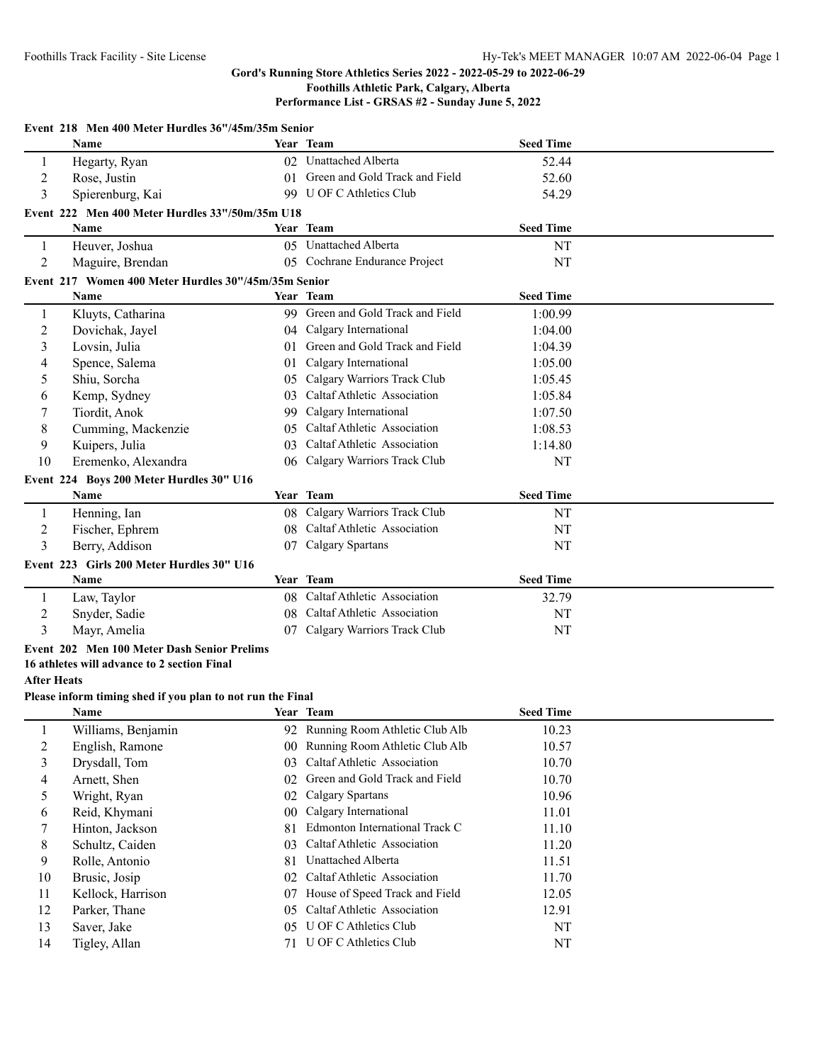## **Performance List - GRSAS #2 - Sunday June 5, 2022**

|                    | Event 218 Men 400 Meter Hurdles 36"/45m/35m Senior         |        |                                   |                  |  |
|--------------------|------------------------------------------------------------|--------|-----------------------------------|------------------|--|
|                    | Name                                                       |        | Year Team                         | <b>Seed Time</b> |  |
| 1                  | Hegarty, Ryan                                              |        | 02 Unattached Alberta             | 52.44            |  |
| $\overline{2}$     | Rose, Justin                                               | 01     | Green and Gold Track and Field    | 52.60            |  |
| 3                  | Spierenburg, Kai                                           |        | 99 U OF C Athletics Club          | 54.29            |  |
|                    | Event 222 Men 400 Meter Hurdles 33"/50m/35m U18            |        |                                   |                  |  |
|                    | <b>Name</b>                                                |        | Year Team                         | <b>Seed Time</b> |  |
| 1                  | Heuver, Joshua                                             |        | 05 Unattached Alberta             | NT               |  |
| $\overline{2}$     | Maguire, Brendan                                           |        | 05 Cochrane Endurance Project     | NT               |  |
|                    | Event 217 Women 400 Meter Hurdles 30"/45m/35m Senior       |        |                                   |                  |  |
|                    | Name                                                       |        | Year Team                         | <b>Seed Time</b> |  |
| 1                  | Kluyts, Catharina                                          |        | 99 Green and Gold Track and Field | 1:00.99          |  |
| $\overline{c}$     | Dovichak, Jayel                                            |        | 04 Calgary International          | 1:04.00          |  |
| 3                  | Lovsin, Julia                                              |        | 01 Green and Gold Track and Field | 1:04.39          |  |
| 4                  | Spence, Salema                                             | 01     | Calgary International             | 1:05.00          |  |
| 5                  | Shiu, Sorcha                                               | 05     | Calgary Warriors Track Club       | 1:05.45          |  |
| 6                  | Kemp, Sydney                                               | 03     | Caltaf Athletic Association       | 1:05.84          |  |
| 7                  | Tiordit, Anok                                              | 99.    | Calgary International             | 1:07.50          |  |
| 8                  | Cumming, Mackenzie                                         | 05     | Caltaf Athletic Association       | 1:08.53          |  |
| 9                  | Kuipers, Julia                                             | 03     | Caltaf Athletic Association       | 1:14.80          |  |
| 10                 | Eremenko, Alexandra                                        |        | 06 Calgary Warriors Track Club    | NT               |  |
|                    | Event 224 Boys 200 Meter Hurdles 30" U16                   |        |                                   |                  |  |
|                    | Name                                                       |        | Year Team                         | <b>Seed Time</b> |  |
| $\mathbf{1}$       | Henning, Ian                                               |        | 08 Calgary Warriors Track Club    | NT               |  |
| $\overline{c}$     | Fischer, Ephrem                                            |        | 08 Caltaf Athletic Association    | NT               |  |
| 3                  | Berry, Addison                                             | 07     | Calgary Spartans                  | NT               |  |
|                    | Event 223 Girls 200 Meter Hurdles 30" U16                  |        |                                   |                  |  |
|                    | <b>Name</b>                                                |        | Year Team                         | <b>Seed Time</b> |  |
| 1                  | Law, Taylor                                                |        | 08 Caltaf Athletic Association    | 32.79            |  |
| $\overline{2}$     | Snyder, Sadie                                              | 08     | Caltaf Athletic Association       | NT               |  |
| 3                  | Mayr, Amelia                                               |        | 07 Calgary Warriors Track Club    | NT               |  |
|                    | Event 202 Men 100 Meter Dash Senior Prelims                |        |                                   |                  |  |
|                    | 16 athletes will advance to 2 section Final                |        |                                   |                  |  |
| <b>After Heats</b> |                                                            |        |                                   |                  |  |
|                    | Please inform timing shed if you plan to not run the Final |        |                                   |                  |  |
|                    | Name                                                       |        | Year Team                         | <b>Seed Time</b> |  |
| $\mathbf{1}$       | Williams, Benjamin                                         |        | 92 Running Room Athletic Club Alb | 10.23            |  |
| $\boldsymbol{2}$   | English, Ramone                                            |        | 00 Running Room Athletic Club Alb | 10.57            |  |
| 3                  | Drysdall, Tom                                              | 03     | Caltaf Athletic Association       | 10.70            |  |
| $\overline{4}$     | Arnett, Shen                                               | 02     | Green and Gold Track and Field    | 10.70            |  |
| 5                  | Wright, Ryan                                               | 02     | <b>Calgary Spartans</b>           | 10.96            |  |
| 6                  | Reid, Khymani                                              | $00\,$ | Calgary International             | 11.01            |  |
| $\tau$             | Hinton, Jackson                                            | 81     | Edmonton International Track C    | 11.10            |  |
| 8                  | Schultz, Caiden                                            | 03     | Caltaf Athletic Association       | 11.20            |  |
| 9                  | Rolle, Antonio                                             | 81     | Unattached Alberta                | 11.51            |  |
| 10                 | Brusic, Josip                                              | 02     | Caltaf Athletic Association       | 11.70            |  |
| 11                 | Kellock, Harrison                                          | 07     | House of Speed Track and Field    | 12.05            |  |
| 12                 | Parker, Thane                                              | 05     | Caltaf Athletic Association       | 12.91            |  |
| 13                 | Saver, Jake                                                | 05     | <b>U OF C Athletics Club</b>      | NT               |  |
| 14                 | Tigley, Allan                                              |        | 71 U OF C Athletics Club          | NT               |  |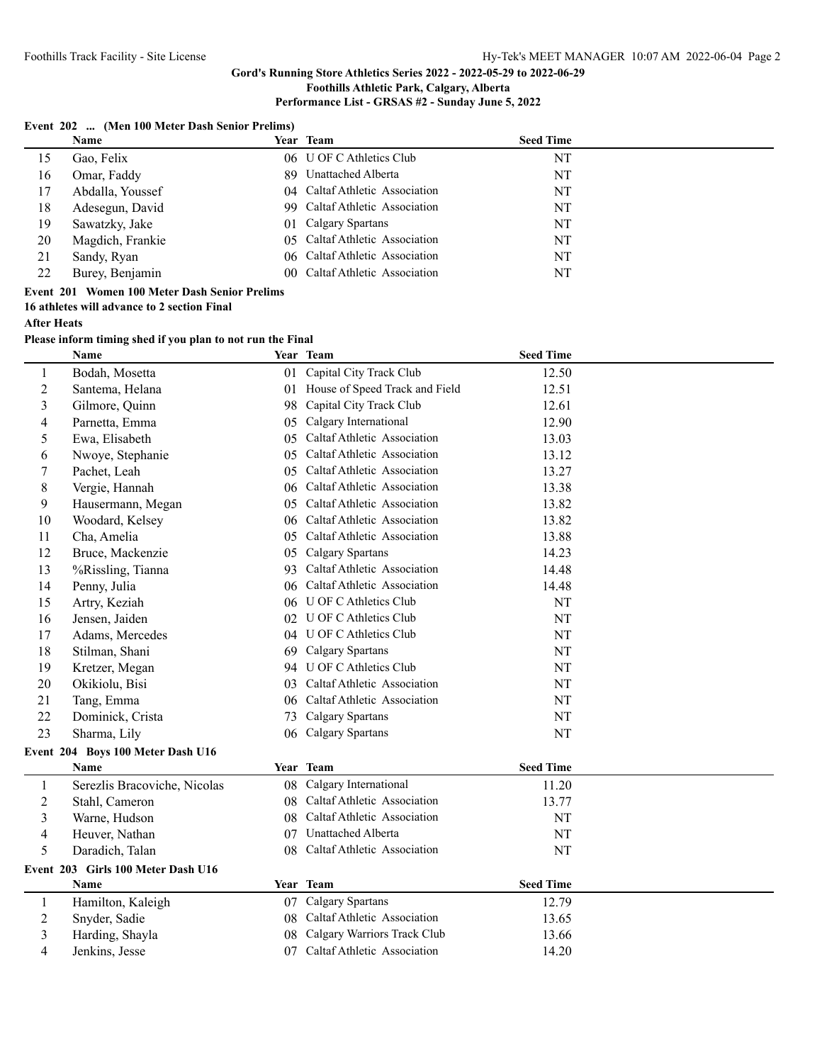### **Gord's Running Store Athletics Series 2022 - 2022-05-29 to 2022-06-29**

## **Foothills Athletic Park, Calgary, Alberta**

## **Performance List - GRSAS #2 - Sunday June 5, 2022**

### **Event 202 ... (Men 100 Meter Dash Senior Prelims)**

|    | <b>Name</b>      | Year Team                      | <b>Seed Time</b> |    |
|----|------------------|--------------------------------|------------------|----|
| 15 | Gao, Felix       | 06 U OF C Athletics Club       |                  | NT |
| 16 | Omar, Faddy      | 89 Unattached Alberta          |                  | NT |
| 17 | Abdalla, Youssef | 04 Caltaf Athletic Association |                  | NT |
| 18 | Adesegun, David  | 99 Caltaf Athletic Association |                  | NT |
| 19 | Sawatzky, Jake   | 01 Calgary Spartans            |                  | NT |
| 20 | Magdich, Frankie | 05 Caltaf Athletic Association |                  | NT |
| 21 | Sandy, Ryan      | 06 Caltaf Athletic Association |                  | NT |
| 22 | Burey, Benjamin  | 00 Caltaf Athletic Association |                  | NT |
|    |                  |                                |                  |    |

## **Event 201 Women 100 Meter Dash Senior Prelims**

**16 athletes will advance to 2 section Final**

### **After Heats**

**Please inform timing shed if you plan to not run the Final**

|                | <b>Name</b>                        |    | Year Team                      | <b>Seed Time</b> |  |
|----------------|------------------------------------|----|--------------------------------|------------------|--|
| 1              | Bodah, Mosetta                     | 01 | Capital City Track Club        | 12.50            |  |
| $\overline{c}$ | Santema, Helana                    | 01 | House of Speed Track and Field | 12.51            |  |
| 3              | Gilmore, Quinn                     | 98 | Capital City Track Club        | 12.61            |  |
| 4              | Parnetta, Emma                     | 05 | Calgary International          | 12.90            |  |
| 5              | Ewa, Elisabeth                     | 05 | Caltaf Athletic Association    | 13.03            |  |
| 6              | Nwoye, Stephanie                   | 05 | Caltaf Athletic Association    | 13.12            |  |
| $\tau$         | Pachet, Leah                       | 05 | Caltaf Athletic Association    | 13.27            |  |
| $\,$ 8 $\,$    | Vergie, Hannah                     | 06 | Caltaf Athletic Association    | 13.38            |  |
| 9              | Hausermann, Megan                  | 05 | Caltaf Athletic Association    | 13.82            |  |
| 10             | Woodard, Kelsey                    | 06 | Caltaf Athletic Association    | 13.82            |  |
| 11             | Cha, Amelia                        | 05 | Caltaf Athletic Association    | 13.88            |  |
| 12             | Bruce, Mackenzie                   | 05 | Calgary Spartans               | 14.23            |  |
| 13             | %Rissling, Tianna                  | 93 | Caltaf Athletic Association    | 14.48            |  |
| 14             | Penny, Julia                       | 06 | Caltaf Athletic Association    | 14.48            |  |
| 15             | Artry, Keziah                      | 06 | U OF C Athletics Club          | $\rm{NT}$        |  |
| 16             | Jensen, Jaiden                     |    | 02 U OF C Athletics Club       | NT               |  |
| 17             | Adams, Mercedes                    |    | 04 U OF C Athletics Club       | $\rm{NT}$        |  |
| 18             | Stilman, Shani                     | 69 | Calgary Spartans               | NT               |  |
| 19             | Kretzer, Megan                     |    | 94 U OF C Athletics Club       | NT               |  |
| 20             | Okikiolu, Bisi                     | 03 | Caltaf Athletic Association    | NT               |  |
| 21             | Tang, Emma                         | 06 | Caltaf Athletic Association    | $\rm{NT}$        |  |
| 22             | Dominick, Crista                   | 73 | Calgary Spartans               | NT               |  |
| 23             | Sharma, Lily                       | 06 | Calgary Spartans               | $\rm{NT}$        |  |
|                | Event 204 Boys 100 Meter Dash U16  |    |                                |                  |  |
|                | Name                               |    | Year Team                      | <b>Seed Time</b> |  |
| $\mathbf{1}$   | Serezlis Bracoviche, Nicolas       | 08 | Calgary International          | 11.20            |  |
| $\overline{2}$ | Stahl, Cameron                     | 08 | Caltaf Athletic Association    | 13.77            |  |
| 3              | Warne, Hudson                      | 08 | Caltaf Athletic Association    | NT               |  |
| 4              | Heuver, Nathan                     | 07 | Unattached Alberta             | $\rm{NT}$        |  |
| 5              | Daradich, Talan                    | 08 | Caltaf Athletic Association    | $\rm{NT}$        |  |
|                | Event 203 Girls 100 Meter Dash U16 |    |                                |                  |  |
|                | Name                               |    | Year Team                      | <b>Seed Time</b> |  |
| $\mathbf{1}$   | Hamilton, Kaleigh                  | 07 | Calgary Spartans               | 12.79            |  |
| $\overline{2}$ | Snyder, Sadie                      | 08 | Caltaf Athletic Association    | 13.65            |  |
| 3              | Harding, Shayla                    | 08 | Calgary Warriors Track Club    | 13.66            |  |
| 4              | Jenkins, Jesse                     | 07 | Caltaf Athletic Association    | 14.20            |  |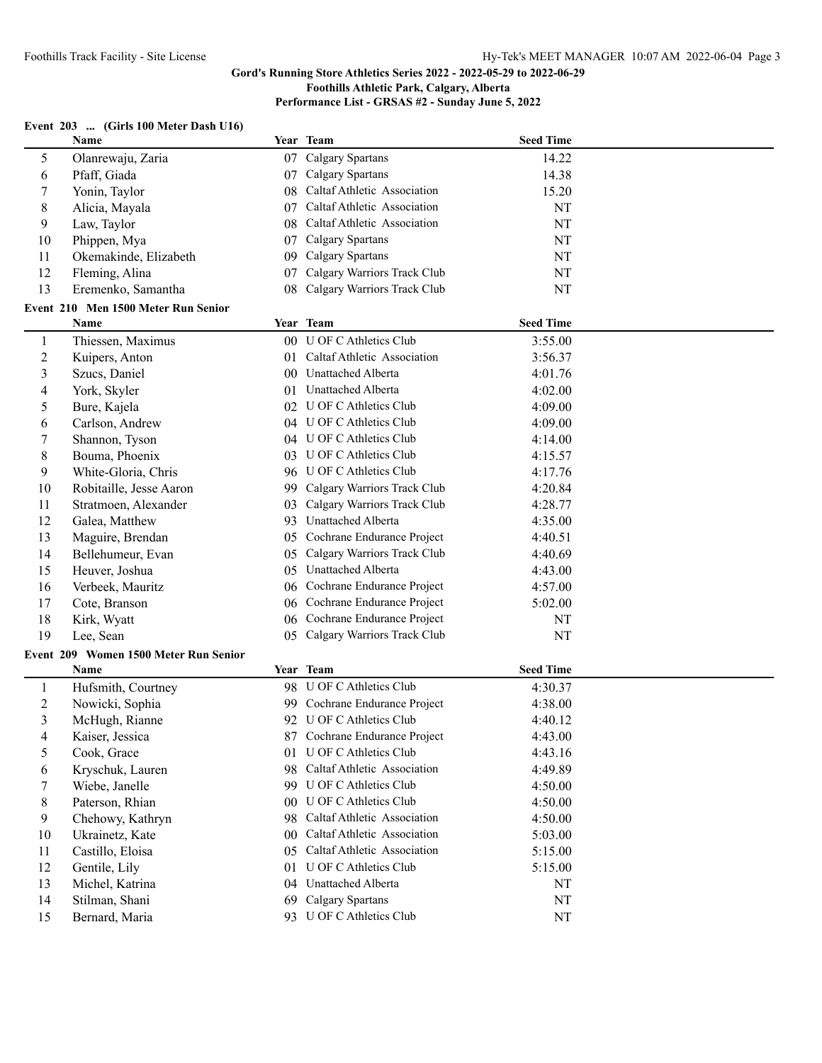# **Performance List - GRSAS #2 - Sunday June 5, 2022**

## **Event 203 ... (Girls 100 Meter Dash U16)**

|                | Name                                  |     | Year Team                      | <b>Seed Time</b> |  |
|----------------|---------------------------------------|-----|--------------------------------|------------------|--|
| 5              | Olanrewaju, Zaria                     |     | 07 Calgary Spartans            | 14.22            |  |
| 6              | Pfaff, Giada                          |     | 07 Calgary Spartans            | 14.38            |  |
| 7              | Yonin, Taylor                         | 08  | Caltaf Athletic Association    | 15.20            |  |
| $\,8\,$        | Alicia, Mayala                        | 07  | Caltaf Athletic Association    | NT               |  |
| 9              | Law, Taylor                           | 08  | Caltaf Athletic Association    | NT               |  |
| 10             | Phippen, Mya                          | 07  | <b>Calgary Spartans</b>        | NT               |  |
| 11             | Okemakinde, Elizabeth                 | 09  | Calgary Spartans               | NT               |  |
| 12             | Fleming, Alina                        | 07  | Calgary Warriors Track Club    | NT               |  |
| 13             | Eremenko, Samantha                    | 08  | Calgary Warriors Track Club    | NT               |  |
|                | Event 210 Men 1500 Meter Run Senior   |     |                                |                  |  |
|                | Name                                  |     | Year Team                      | <b>Seed Time</b> |  |
| $\mathbf{1}$   | Thiessen, Maximus                     |     | 00 U OF C Athletics Club       | 3:55.00          |  |
| $\overline{c}$ | Kuipers, Anton                        |     | 01 Caltaf Athletic Association | 3:56.37          |  |
| 3              | Szucs, Daniel                         |     | 00 Unattached Alberta          | 4:01.76          |  |
| 4              | York, Skyler                          |     | 01 Unattached Alberta          | 4:02.00          |  |
| 5              | Bure, Kajela                          |     | 02 U OF C Athletics Club       | 4:09.00          |  |
| 6              | Carlson, Andrew                       |     | 04 U OF C Athletics Club       | 4:09.00          |  |
| 7              | Shannon, Tyson                        |     | 04 U OF C Athletics Club       | 4:14.00          |  |
| $\,8\,$        | Bouma, Phoenix                        |     | 03 U OF C Athletics Club       | 4:15.57          |  |
| 9              | White-Gloria, Chris                   |     | 96 U OF C Athletics Club       | 4:17.76          |  |
| 10             | Robitaille, Jesse Aaron               | 99. | Calgary Warriors Track Club    | 4:20.84          |  |
| 11             | Stratmoen, Alexander                  | 03  | Calgary Warriors Track Club    | 4:28.77          |  |
| 12             | Galea, Matthew                        | 93  | Unattached Alberta             | 4:35.00          |  |
| 13             | Maguire, Brendan                      | 05  | Cochrane Endurance Project     | 4:40.51          |  |
| 14             | Bellehumeur, Evan                     | 05  | Calgary Warriors Track Club    | 4:40.69          |  |
| 15             | Heuver, Joshua                        | 05  | Unattached Alberta             | 4:43.00          |  |
| 16             | Verbeek, Mauritz                      | 06  | Cochrane Endurance Project     | 4:57.00          |  |
| 17             | Cote, Branson                         |     | 06 Cochrane Endurance Project  | 5:02.00          |  |
| 18             | Kirk, Wyatt                           |     | 06 Cochrane Endurance Project  | NT               |  |
| 19             | Lee, Sean                             | 05  | Calgary Warriors Track Club    | NT               |  |
|                | Event 209 Women 1500 Meter Run Senior |     |                                |                  |  |
|                | Name                                  |     | Year Team                      | <b>Seed Time</b> |  |
| $\mathbf{1}$   | Hufsmith, Courtney                    |     | 98 U OF C Athletics Club       | 4:30.37          |  |
| $\sqrt{2}$     | Nowicki, Sophia                       |     | 99 Cochrane Endurance Project  | 4:38.00          |  |
| 3              | McHugh, Rianne                        |     | 92 U OF C Athletics Club       | 4:40.12          |  |
| 4              | Kaiser, Jessica                       |     | 87 Cochrane Endurance Project  | 4:43.00          |  |
| 5              | Cook, Grace                           |     | 01 U OF C Athletics Club       | 4:43.16          |  |
| 6              | Kryschuk, Lauren                      |     | 98 Caltaf Athletic Association | 4:49.89          |  |
| 7              | Wiebe, Janelle                        |     | 99 U OF C Athletics Club       | 4:50.00          |  |
| $\,8\,$        | Paterson, Rhian                       |     | 00 U OF C Athletics Club       | 4:50.00          |  |
| 9              | Chehowy, Kathryn                      |     | 98 Caltaf Athletic Association | 4:50.00          |  |
| 10             | Ukrainetz, Kate                       |     | 00 Caltaf Athletic Association | 5:03.00          |  |
| 11             | Castillo, Eloisa                      | 05  | Caltaf Athletic Association    | 5:15.00          |  |
| 12             | Gentile, Lily                         | 01  | <b>U OF C Athletics Club</b>   | 5:15.00          |  |
| 13             | Michel, Katrina                       |     | 04 Unattached Alberta          | NT               |  |
| 14             | Stilman, Shani                        | 69  | <b>Calgary Spartans</b>        | NT               |  |
| 15             | Bernard, Maria                        |     | 93 U OF C Athletics Club       | $\rm{NT}$        |  |
|                |                                       |     |                                |                  |  |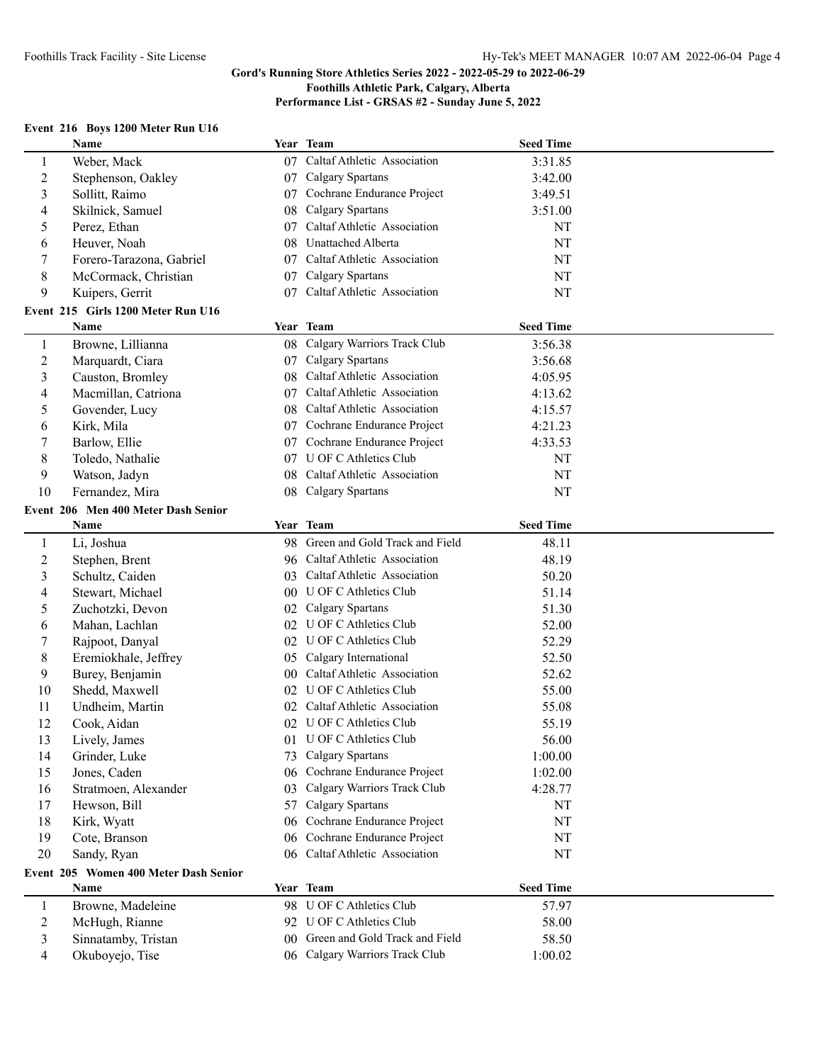**Performance List - GRSAS #2 - Sunday June 5, 2022**

## **Event 216 Boys 1200 Meter Run U16**

|                | Name                                   |                 | Year Team                                                        | <b>Seed Time</b> |  |
|----------------|----------------------------------------|-----------------|------------------------------------------------------------------|------------------|--|
| 1              | Weber, Mack                            | 07              | Caltaf Athletic Association                                      | 3:31.85          |  |
| $\overline{c}$ | Stephenson, Oakley                     | 07              | Calgary Spartans                                                 | 3:42.00          |  |
| 3              | Sollitt, Raimo                         | 07              | Cochrane Endurance Project                                       | 3:49.51          |  |
| 4              | Skilnick, Samuel                       | 08              | <b>Calgary Spartans</b>                                          | 3:51.00          |  |
| 5              | Perez, Ethan                           | 07              | Caltaf Athletic Association                                      | NT               |  |
| 6              | Heuver, Noah                           | 08              | <b>Unattached Alberta</b>                                        | NT               |  |
| 7              | Forero-Tarazona, Gabriel               |                 | 07 Caltaf Athletic Association                                   | NT               |  |
| $\,$ 8 $\,$    | McCormack, Christian                   |                 | 07 Calgary Spartans                                              | NT               |  |
| 9              | Kuipers, Gerrit                        |                 | 07 Caltaf Athletic Association                                   | NT               |  |
|                | Event 215 Girls 1200 Meter Run U16     |                 |                                                                  |                  |  |
|                | Name                                   |                 | Year Team                                                        | <b>Seed Time</b> |  |
| $\mathbf{1}$   | Browne, Lillianna                      |                 | 08 Calgary Warriors Track Club                                   | 3:56.38          |  |
| $\overline{c}$ | Marquardt, Ciara                       |                 | 07 Calgary Spartans                                              | 3:56.68          |  |
| 3              | Causton, Bromley                       |                 | 08 Caltaf Athletic Association                                   | 4:05.95          |  |
| 4              | Macmillan, Catriona                    | 07              | Caltaf Athletic Association                                      | 4:13.62          |  |
| 5              | Govender, Lucy                         | 08              | Caltaf Athletic Association                                      | 4:15.57          |  |
| 6              | Kirk, Mila                             | 07              | Cochrane Endurance Project                                       | 4:21.23          |  |
| 7              | Barlow, Ellie                          | 07              | Cochrane Endurance Project                                       | 4:33.53          |  |
| $\,8\,$        | Toledo, Nathalie                       | 07              | <b>U OF C Athletics Club</b>                                     | NT               |  |
| 9              | Watson, Jadyn                          | 08              | Caltaf Athletic Association                                      | NT               |  |
| 10             | Fernandez, Mira                        | 08              | Calgary Spartans                                                 | NT               |  |
|                | Event 206 Men 400 Meter Dash Senior    |                 |                                                                  |                  |  |
|                | Name                                   |                 | Year Team                                                        | <b>Seed Time</b> |  |
| $\mathbf{1}$   | Li, Joshua                             |                 | 98 Green and Gold Track and Field                                | 48.11            |  |
| $\overline{c}$ | Stephen, Brent                         |                 | 96 Caltaf Athletic Association                                   | 48.19            |  |
| 3              | Schultz, Caiden                        | 03              | Caltaf Athletic Association                                      | 50.20            |  |
| 4              | Stewart, Michael                       | 00 <sup>°</sup> | U OF C Athletics Club                                            | 51.14            |  |
| 5              | Zuchotzki, Devon                       | 02              | Calgary Spartans                                                 | 51.30            |  |
| 6              | Mahan, Lachlan                         | 02              | U OF C Athletics Club                                            | 52.00            |  |
| 7              | Rajpoot, Danyal                        |                 | 02 U OF C Athletics Club                                         | 52.29            |  |
| 8              | Eremiokhale, Jeffrey                   |                 | 05 Calgary International                                         | 52.50            |  |
| 9              | Burey, Benjamin                        | 00 <sup>1</sup> | Caltaf Athletic Association                                      | 52.62            |  |
| 10             | Shedd, Maxwell                         |                 | 02 U OF C Athletics Club                                         | 55.00            |  |
| 11             | Undheim, Martin                        |                 | 02 Caltaf Athletic Association                                   | 55.08            |  |
| 12             | Cook, Aidan                            |                 | 02 U OF C Athletics Club                                         | 55.19            |  |
| 13             | Lively, James                          |                 | 01 U OF C Athletics Club                                         | 56.00            |  |
| 14             | Grinder, Luke                          | 73              | Calgary Spartans                                                 | 1:00.00          |  |
| 15             | Jones, Caden                           | 06              | Cochrane Endurance Project                                       | 1:02.00          |  |
| 16             | Stratmoen, Alexander                   | 03              | Calgary Warriors Track Club                                      | 4:28.77          |  |
| 17             | Hewson, Bill                           | 57              | Calgary Spartans                                                 | NT               |  |
| 18             | Kirk, Wyatt                            | 06              | Cochrane Endurance Project                                       | NT               |  |
| 19             | Cote, Branson                          | 06              | Cochrane Endurance Project                                       | NT               |  |
| 20             | Sandy, Ryan                            |                 | 06 Caltaf Athletic Association                                   | NT               |  |
|                | Event 205 Women 400 Meter Dash Senior  |                 |                                                                  |                  |  |
|                | Name                                   |                 | Year Team                                                        | <b>Seed Time</b> |  |
| $\mathbf{1}$   | Browne, Madeleine                      |                 | 98 U OF C Athletics Club                                         | 57.97            |  |
| $\overline{c}$ | McHugh, Rianne                         |                 | 92 U OF C Athletics Club                                         | 58.00            |  |
|                |                                        |                 |                                                                  |                  |  |
|                |                                        |                 |                                                                  |                  |  |
| 3<br>4         | Sinnatamby, Tristan<br>Okuboyejo, Tise | 00 <sup>°</sup> | Green and Gold Track and Field<br>06 Calgary Warriors Track Club | 58.50<br>1:00.02 |  |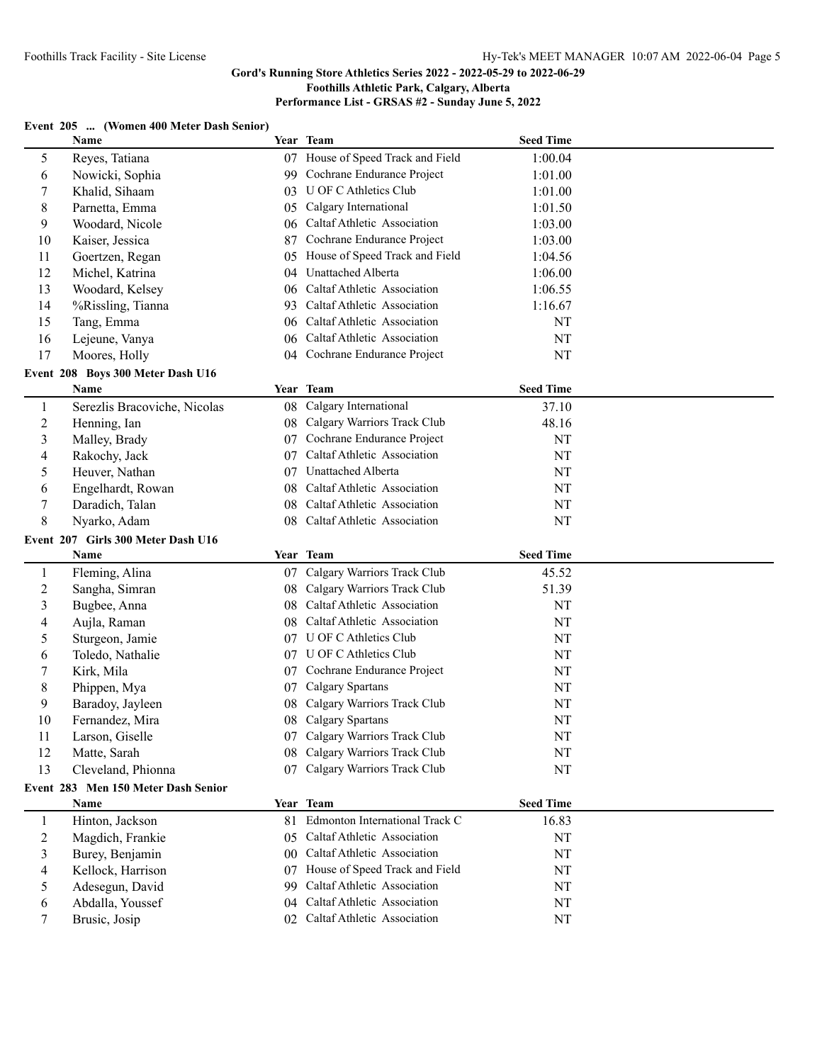### **Gord's Running Store Athletics Series 2022 - 2022-05-29 to 2022-06-29**

### **Foothills Athletic Park, Calgary, Alberta**

## **Performance List - GRSAS #2 - Sunday June 5, 2022**

## **Event 205 ... (Women 400 Meter Dash Senior)**

|                | Name                                |                 | Year Team                      | <b>Seed Time</b> |  |
|----------------|-------------------------------------|-----------------|--------------------------------|------------------|--|
| 5              | Reyes, Tatiana                      | 07              | House of Speed Track and Field | 1:00.04          |  |
| 6              | Nowicki, Sophia                     | 99              | Cochrane Endurance Project     | 1:01.00          |  |
| 7              | Khalid, Sihaam                      | 03              | U OF C Athletics Club          | 1:01.00          |  |
| $\,8\,$        | Parnetta, Emma                      | 05              | Calgary International          | 1:01.50          |  |
| 9              | Woodard, Nicole                     | 06              | Caltaf Athletic Association    | 1:03.00          |  |
| 10             | Kaiser, Jessica                     | 87              | Cochrane Endurance Project     | 1:03.00          |  |
| 11             | Goertzen, Regan                     | 05              | House of Speed Track and Field | 1:04.56          |  |
| 12             | Michel, Katrina                     | 04              | Unattached Alberta             | 1:06.00          |  |
| 13             | Woodard, Kelsey                     | 06              | Caltaf Athletic Association    | 1:06.55          |  |
| 14             | %Rissling, Tianna                   | 93              | Caltaf Athletic Association    | 1:16.67          |  |
| 15             | Tang, Emma                          | 06              | Caltaf Athletic Association    | NT               |  |
| 16             | Lejeune, Vanya                      | 06              | Caltaf Athletic Association    | NT               |  |
| 17             | Moores, Holly                       |                 | 04 Cochrane Endurance Project  | NT               |  |
|                | Event 208 Boys 300 Meter Dash U16   |                 |                                |                  |  |
|                | Name                                |                 | Year Team                      | <b>Seed Time</b> |  |
| $\mathbf{1}$   | Serezlis Bracoviche, Nicolas        | 08              | Calgary International          | 37.10            |  |
| $\sqrt{2}$     | Henning, Ian                        | 08              | Calgary Warriors Track Club    | 48.16            |  |
| 3              | Malley, Brady                       | 07              | Cochrane Endurance Project     | NT               |  |
| 4              | Rakochy, Jack                       | 07              | Caltaf Athletic Association    | NT               |  |
| 5              | Heuver, Nathan                      | 07              | Unattached Alberta             | NT               |  |
| 6              | Engelhardt, Rowan                   | 08              | Caltaf Athletic Association    | NT               |  |
| 7              | Daradich, Talan                     | 08              | Caltaf Athletic Association    | NT               |  |
| $\,$ 8 $\,$    | Nyarko, Adam                        | 08              | Caltaf Athletic Association    | NT               |  |
|                |                                     |                 |                                |                  |  |
|                | Event 207 Girls 300 Meter Dash U16  |                 | Year Team                      | <b>Seed Time</b> |  |
|                | Name                                |                 |                                |                  |  |
| 1              | Fleming, Alina                      | 07              | Calgary Warriors Track Club    | 45.52            |  |
| $\overline{c}$ | Sangha, Simran                      | 08              | Calgary Warriors Track Club    | 51.39            |  |
| 3              | Bugbee, Anna                        | 08              | Caltaf Athletic Association    | NT               |  |
| 4              | Aujla, Raman                        | 08              | Caltaf Athletic Association    | NT               |  |
| 5              | Sturgeon, Jamie                     |                 | 07 U OF C Athletics Club       | NT               |  |
| 6              | Toledo, Nathalie                    |                 | 07 U OF C Athletics Club       | NT               |  |
| 7              | Kirk, Mila                          |                 | 07 Cochrane Endurance Project  | NT               |  |
| $\,8\,$        | Phippen, Mya                        | 07              | Calgary Spartans               | NT               |  |
| 9              | Baradoy, Jayleen                    | 08              | Calgary Warriors Track Club    | NT               |  |
| 10             |                                     |                 |                                |                  |  |
|                | Fernandez, Mira                     | 08              | Calgary Spartans               | NT               |  |
| 11             | Larson, Giselle                     |                 | 07 Calgary Warriors Track Club | NT               |  |
| 12             | Matte, Sarah                        |                 | 08 Calgary Warriors Track Club | NT               |  |
| 13             | Cleveland, Phionna                  |                 | 07 Calgary Warriors Track Club | NT               |  |
|                | Event 283 Men 150 Meter Dash Senior |                 |                                |                  |  |
|                | Name                                |                 | Year Team                      | <b>Seed Time</b> |  |
| 1              | Hinton, Jackson                     | 81              | Edmonton International Track C | 16.83            |  |
| $\sqrt{2}$     | Magdich, Frankie                    | 05              | Caltaf Athletic Association    | NT               |  |
| 3              | Burey, Benjamin                     | 00 <sup>1</sup> | Caltaf Athletic Association    | NT               |  |
| 4              | Kellock, Harrison                   | 07              | House of Speed Track and Field | NT               |  |
| 5              | Adesegun, David                     | 99              | Caltaf Athletic Association    | NT               |  |
| 6              | Abdalla, Youssef                    | 04              | Caltaf Athletic Association    | NT               |  |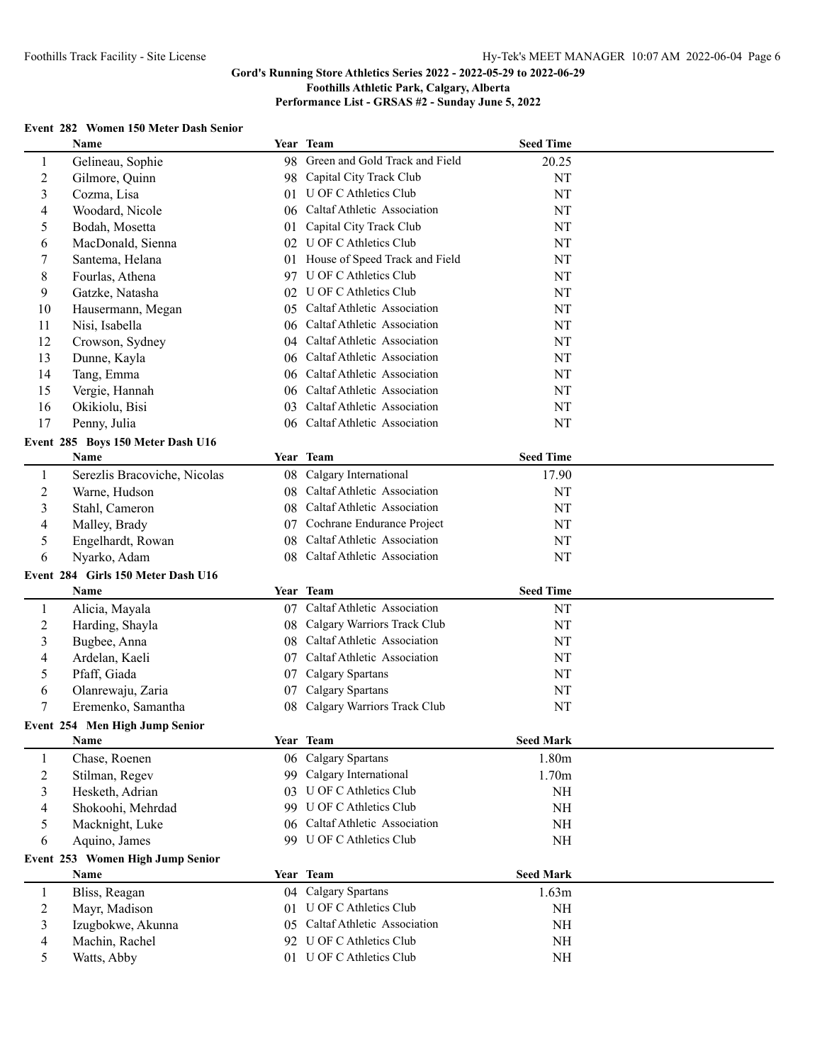# **Gord's Running Store Athletics Series 2022 - 2022-05-29 to 2022-06-29**

## **Foothills Athletic Park, Calgary, Alberta**

**Performance List - GRSAS #2 - Sunday June 5, 2022**

#### **Event 282 Women 150 Meter Dash Senior**

|                  | Name                               |      | Year Team                         | <b>Seed Time</b>  |  |
|------------------|------------------------------------|------|-----------------------------------|-------------------|--|
| $\mathbf{1}$     | Gelineau, Sophie                   |      | 98 Green and Gold Track and Field | 20.25             |  |
| $\sqrt{2}$       | Gilmore, Quinn                     | 98   | Capital City Track Club           | NT                |  |
| $\mathfrak{Z}$   | Cozma, Lisa                        | 01   | U OF C Athletics Club             | NT                |  |
| $\overline{4}$   | Woodard, Nicole                    | 06   | Caltaf Athletic Association       | NT                |  |
| 5                | Bodah, Mosetta                     | 01   | Capital City Track Club           | NT                |  |
| 6                | MacDonald, Sienna                  | 02   | U OF C Athletics Club             | NT                |  |
| 7                | Santema, Helana                    |      | 01 House of Speed Track and Field | NT                |  |
| $\,8\,$          | Fourlas, Athena                    |      | 97 U OF C Athletics Club          | NT                |  |
| 9                | Gatzke, Natasha                    |      | 02 U OF C Athletics Club          | NT                |  |
| 10               | Hausermann, Megan                  |      | 05 Caltaf Athletic Association    | NT                |  |
| 11               | Nisi, Isabella                     |      | 06 Caltaf Athletic Association    | NT                |  |
| 12               | Crowson, Sydney                    |      | 04 Caltaf Athletic Association    | NT                |  |
| 13               | Dunne, Kayla                       |      | 06 Caltaf Athletic Association    | NT                |  |
| 14               | Tang, Emma                         |      | 06 Caltaf Athletic Association    | NT                |  |
| 15               | Vergie, Hannah                     |      | 06 Caltaf Athletic Association    | NT                |  |
| 16               | Okikiolu, Bisi                     | 03.  | Caltaf Athletic Association       | NT                |  |
| 17               | Penny, Julia                       |      | 06 Caltaf Athletic Association    | NT                |  |
|                  | Event 285 Boys 150 Meter Dash U16  |      |                                   |                   |  |
|                  | Name                               |      | Year Team                         | <b>Seed Time</b>  |  |
| $\mathbf{1}$     | Serezlis Bracoviche, Nicolas       |      | 08 Calgary International          | 17.90             |  |
| $\boldsymbol{2}$ | Warne, Hudson                      |      | 08 Caltaf Athletic Association    | NT                |  |
| $\mathfrak{Z}$   | Stahl, Cameron                     | 08   | Caltaf Athletic Association       | NT                |  |
| $\overline{4}$   | Malley, Brady                      | 07   | Cochrane Endurance Project        | NT                |  |
| 5                | Engelhardt, Rowan                  | 08   | Caltaf Athletic Association       | NT                |  |
| 6                | Nyarko, Adam                       | 08   | Caltaf Athletic Association       | NT                |  |
|                  |                                    |      |                                   |                   |  |
|                  | Event 284 Girls 150 Meter Dash U16 |      | Year Team                         | <b>Seed Time</b>  |  |
|                  | Name                               |      |                                   |                   |  |
| $\mathbf{1}$     | Alicia, Mayala                     |      | 07 Caltaf Athletic Association    | NT                |  |
| $\mathbf 2$      | Harding, Shayla                    | 08   | Calgary Warriors Track Club       | NT                |  |
| $\mathfrak{Z}$   | Bugbee, Anna                       | 08   | Caltaf Athletic Association       | NT                |  |
| 4                | Ardelan, Kaeli                     | 07   | Caltaf Athletic Association       | NT                |  |
| 5                | Pfaff, Giada                       | 07   | Calgary Spartans                  | NT                |  |
| 6                | Olanrewaju, Zaria                  | 07   | Calgary Spartans                  | NT                |  |
| 7                | Eremenko, Samantha                 | 08   | Calgary Warriors Track Club       | NT                |  |
|                  | Event 254 Men High Jump Senior     |      |                                   |                   |  |
|                  | <b>Name</b>                        | Year | Team                              | <b>Seed Mark</b>  |  |
| $\mathbf{1}$     | Chase, Roenen                      | 06   | <b>Calgary Spartans</b>           | 1.80m             |  |
| $\overline{c}$   | Stilman, Regev                     | 99   | Calgary International             | 1.70 <sub>m</sub> |  |
| $\mathfrak{Z}$   | Hesketh, Adrian                    |      | 03 U OF C Athletics Club          | NH                |  |
| 4                | Shokoohi, Mehrdad                  |      | 99 U OF C Athletics Club          | NH                |  |
| 5                | Macknight, Luke                    |      | 06 Caltaf Athletic Association    | $\rm NH$          |  |
| 6                | Aquino, James                      |      | 99 U OF C Athletics Club          | NH                |  |
|                  | Event 253 Women High Jump Senior   |      |                                   |                   |  |
|                  | <b>Name</b>                        |      | Year Team                         | <b>Seed Mark</b>  |  |
| $\mathbf{1}$     | Bliss, Reagan                      | 04   | Calgary Spartans                  | 1.63m             |  |
| $\overline{c}$   | Mayr, Madison                      | 01.  | U OF C Athletics Club             | NH                |  |
| $\mathfrak{Z}$   | Izugbokwe, Akunna                  |      | 05 Caltaf Athletic Association    | $\rm NH$          |  |
| $\overline{4}$   | Machin, Rachel                     |      | 92 U OF C Athletics Club          | NH                |  |
| 5                | Watts, Abby                        |      | 01 U OF C Athletics Club          | $\rm{NH}$         |  |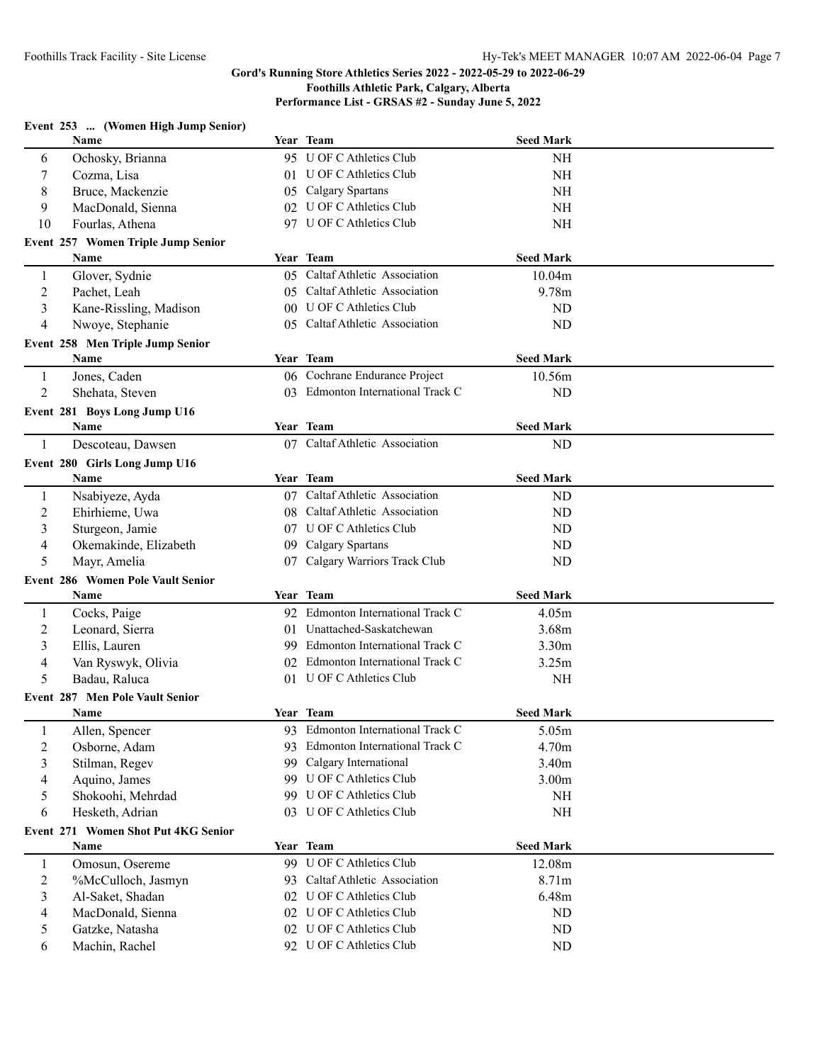**Performance List - GRSAS #2 - Sunday June 5, 2022**

|                | Event 253  (Women High Jump Senior)    |                 |                                   |                   |  |
|----------------|----------------------------------------|-----------------|-----------------------------------|-------------------|--|
|                | Name                                   |                 | Year Team                         | <b>Seed Mark</b>  |  |
| 6              | Ochosky, Brianna                       |                 | 95 U OF C Athletics Club          | <b>NH</b>         |  |
| 7              | Cozma, Lisa                            |                 | 01 U OF C Athletics Club          | <b>NH</b>         |  |
| 8              | Bruce, Mackenzie                       | 05              | Calgary Spartans                  | <b>NH</b>         |  |
| 9              | MacDonald, Sienna                      |                 | 02 U OF C Athletics Club          | <b>NH</b>         |  |
| 10             | Fourlas, Athena                        |                 | 97 U OF C Athletics Club          | <b>NH</b>         |  |
|                | Event 257 Women Triple Jump Senior     |                 |                                   |                   |  |
|                | Name                                   |                 | Year Team                         | <b>Seed Mark</b>  |  |
| 1              | Glover, Sydnie                         |                 | 05 Caltaf Athletic Association    | 10.04m            |  |
| 2              | Pachet, Leah                           |                 | 05 Caltaf Athletic Association    | 9.78m             |  |
| 3              | Kane-Rissling, Madison                 |                 | 00 U OF C Athletics Club          | <b>ND</b>         |  |
| 4              | Nwoye, Stephanie                       |                 | 05 Caltaf Athletic Association    | <b>ND</b>         |  |
|                | Event 258 Men Triple Jump Senior       |                 |                                   |                   |  |
|                | Name                                   |                 | Year Team                         | <b>Seed Mark</b>  |  |
| 1              | Jones, Caden                           |                 | 06 Cochrane Endurance Project     | 10.56m            |  |
| $\overline{2}$ | Shehata, Steven                        |                 | 03 Edmonton International Track C | ND                |  |
|                |                                        |                 |                                   |                   |  |
|                | Event 281 Boys Long Jump U16           |                 | Year Team                         |                   |  |
|                | Name                                   |                 |                                   | <b>Seed Mark</b>  |  |
| 1              | Descoteau, Dawsen                      |                 | 07 Caltaf Athletic Association    | ND                |  |
|                | Event 280 Girls Long Jump U16          |                 |                                   |                   |  |
|                | Name                                   |                 | Year Team                         | <b>Seed Mark</b>  |  |
| 1              | Nsabiyeze, Ayda                        |                 | 07 Caltaf Athletic Association    | <b>ND</b>         |  |
| 2              | Ehirhieme, Uwa                         | 08 <sup>°</sup> | Caltaf Athletic Association       | <b>ND</b>         |  |
| 3              | Sturgeon, Jamie                        |                 | 07 U OF C Athletics Club          | <b>ND</b>         |  |
| 4              | Okemakinde, Elizabeth                  | 09              | Calgary Spartans                  | ND                |  |
| 5              | Mayr, Amelia                           | 07              | Calgary Warriors Track Club       | <b>ND</b>         |  |
|                | Event 286 Women Pole Vault Senior      |                 |                                   |                   |  |
|                | Name                                   |                 | Year Team                         | <b>Seed Mark</b>  |  |
| 1              | Cocks, Paige                           | 92.             | Edmonton International Track C    | 4.05m             |  |
| $\overline{c}$ | Leonard, Sierra                        |                 | 01 Unattached-Saskatchewan        | 3.68m             |  |
| 3              | Ellis, Lauren                          |                 | 99 Edmonton International Track C | 3.30 <sub>m</sub> |  |
| 4              | Van Ryswyk, Olivia                     |                 | 02 Edmonton International Track C | 3.25m             |  |
| 5              | Badau, Raluca                          |                 | 01 U OF C Athletics Club          | NH                |  |
|                | <b>Event 287 Men Pole Vault Senior</b> |                 |                                   |                   |  |
|                | <b>Name</b>                            |                 | Year Team                         | <b>Seed Mark</b>  |  |
| 1              | Allen, Spencer                         |                 | 93 Edmonton International Track C | 5.05m             |  |
| 2              | Osborne, Adam                          | 93.             | Edmonton International Track C    | 4.70m             |  |
| 3              | Stilman, Regev                         | 99              | Calgary International             | 3.40m             |  |
| 4              | Aquino, James                          | 99              | U OF C Athletics Club             | 3.00 <sub>m</sub> |  |
| 5              | Shokoohi, Mehrdad                      |                 | 99 U OF C Athletics Club          | NH                |  |
| 6              | Hesketh, Adrian                        |                 | 03 U OF C Athletics Club          | <b>NH</b>         |  |
|                | Event 271 Women Shot Put 4KG Senior    |                 |                                   |                   |  |
|                | Name                                   |                 | Year Team                         | <b>Seed Mark</b>  |  |
| 1              | Omosun, Osereme                        |                 | 99 U OF C Athletics Club          | 12.08m            |  |
| $\overline{c}$ | %McCulloch, Jasmyn                     |                 | 93 Caltaf Athletic Association    | 8.71m             |  |
| 3              | Al-Saket, Shadan                       |                 | 02 U OF C Athletics Club          | 6.48m             |  |
| 4              | MacDonald, Sienna                      |                 | 02 U OF C Athletics Club          | ND                |  |
| 5              | Gatzke, Natasha                        |                 | 02 U OF C Athletics Club          | <b>ND</b>         |  |
| 6              | Machin, Rachel                         |                 | 92 U OF C Athletics Club          | ND                |  |
|                |                                        |                 |                                   |                   |  |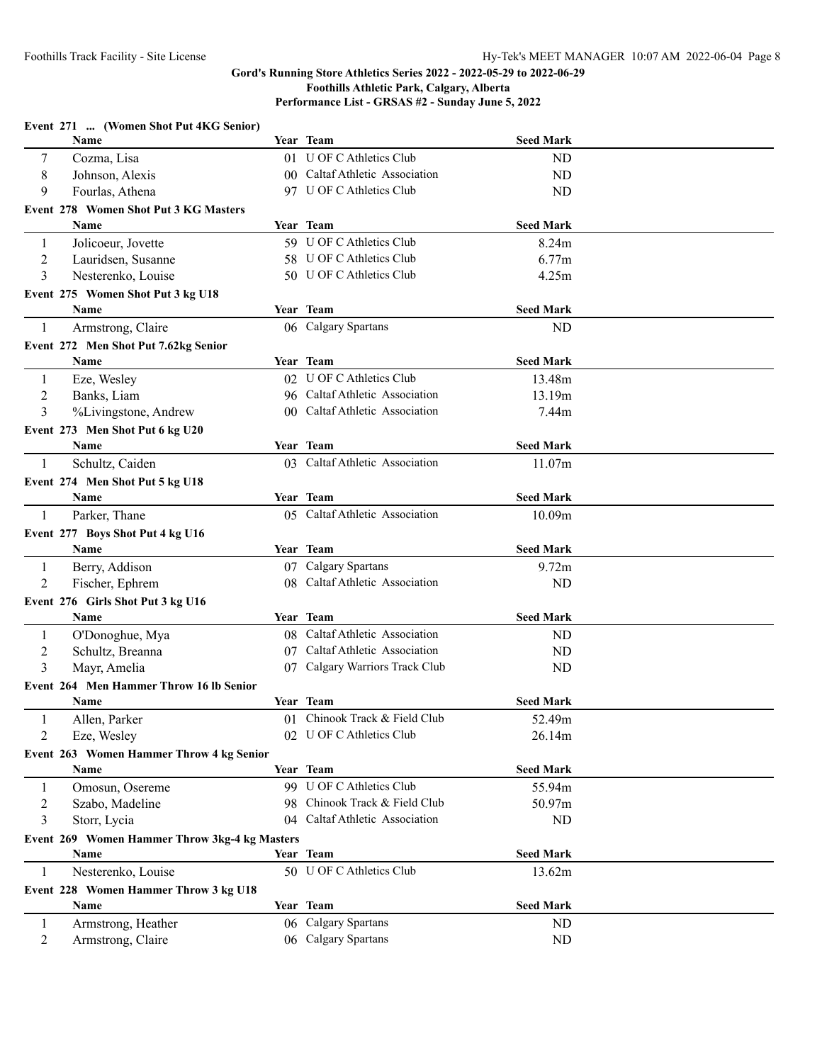## **Gord's Running Store Athletics Series 2022 - 2022-05-29 to 2022-06-29 Foothills Athletic Park, Calgary, Alberta Performance List - GRSAS #2 - Sunday June 5, 2022**

|                                | Event 271  (Women Shot Put 4KG Senior)          |                                                           |                  |  |
|--------------------------------|-------------------------------------------------|-----------------------------------------------------------|------------------|--|
|                                | Name                                            | Year Team                                                 | <b>Seed Mark</b> |  |
| 7                              | Cozma, Lisa                                     | 01 U OF C Athletics Club                                  | ND               |  |
| 8                              | Johnson, Alexis                                 | 00 Caltaf Athletic Association                            | ND               |  |
| 9                              | Fourlas, Athena                                 | 97 U OF C Athletics Club                                  | <b>ND</b>        |  |
|                                | Event 278 Women Shot Put 3 KG Masters           |                                                           |                  |  |
|                                | <b>Name</b>                                     | Year Team                                                 | <b>Seed Mark</b> |  |
| 1                              | Jolicoeur, Jovette                              | 59 U OF C Athletics Club                                  | 8.24m            |  |
| 2                              | Lauridsen, Susanne                              | 58 U OF C Athletics Club                                  | 6.77m            |  |
| 3                              | Nesterenko, Louise                              | 50 U OF C Athletics Club                                  | 4.25m            |  |
|                                | Event 275 Women Shot Put 3 kg U18               |                                                           |                  |  |
|                                | Name                                            | Year Team                                                 | <b>Seed Mark</b> |  |
| 1                              | Armstrong, Claire                               | 06 Calgary Spartans                                       | ND               |  |
|                                | Event 272 Men Shot Put 7.62kg Senior            |                                                           |                  |  |
|                                | Name                                            | Year Team                                                 | <b>Seed Mark</b> |  |
| 1                              | Eze, Wesley                                     | 02 U OF C Athletics Club                                  | 13.48m           |  |
| $\overline{2}$                 | Banks, Liam                                     | 96 Caltaf Athletic Association                            | 13.19m           |  |
| 3                              | %Livingstone, Andrew                            | 00 Caltaf Athletic Association                            | 7.44m            |  |
|                                | Event 273 Men Shot Put 6 kg U20                 |                                                           |                  |  |
|                                | Name                                            | Year Team                                                 | <b>Seed Mark</b> |  |
| 1                              | Schultz, Caiden                                 | 03 Caltaf Athletic Association                            | 11.07m           |  |
|                                | Event 274 Men Shot Put 5 kg U18                 |                                                           |                  |  |
|                                | Name                                            | Year Team                                                 | <b>Seed Mark</b> |  |
| 1                              | Parker, Thane                                   | 05 Caltaf Athletic Association                            | 10.09m           |  |
|                                | Event 277 Boys Shot Put 4 kg U16                |                                                           |                  |  |
|                                | Name                                            | Year Team                                                 | <b>Seed Mark</b> |  |
| 1                              | Berry, Addison                                  | 07 Calgary Spartans                                       | 9.72m            |  |
| 2                              | Fischer, Ephrem                                 | 08 Caltaf Athletic Association                            | ND               |  |
|                                |                                                 |                                                           |                  |  |
|                                | Event 276 Girls Shot Put 3 kg U16<br>Name       | Year Team                                                 | <b>Seed Mark</b> |  |
|                                |                                                 | 08 Caltaf Athletic Association                            |                  |  |
| $\mathbf{1}$<br>$\overline{c}$ | O'Donoghue, Mya<br>Schultz, Breanna             | 07 Caltaf Athletic Association                            | ND<br>ND         |  |
| 3                              | Mayr, Amelia                                    | 07 Calgary Warriors Track Club                            | ND               |  |
|                                |                                                 |                                                           |                  |  |
|                                | Event 264 Men Hammer Throw 16 lb Senior<br>Name | Year Team                                                 | <b>Seed Mark</b> |  |
|                                |                                                 | 01 Chinook Track & Field Club                             |                  |  |
| 2                              | Allen, Parker<br>Eze, Wesley                    | 02 U OF C Athletics Club                                  | 52.49m<br>26.14m |  |
|                                |                                                 |                                                           |                  |  |
|                                | Event 263 Women Hammer Throw 4 kg Senior        |                                                           |                  |  |
|                                | Name                                            | Year Team                                                 | <b>Seed Mark</b> |  |
| 1                              | Omosun, Osereme                                 | 99 U OF C Athletics Club<br>98 Chinook Track & Field Club | 55.94m           |  |
| $\overline{c}$                 | Szabo, Madeline                                 | 04 Caltaf Athletic Association                            | 50.97m           |  |
| 3                              | Storr, Lycia                                    |                                                           | ND               |  |
|                                | Event 269 Women Hammer Throw 3kg-4 kg Masters   |                                                           |                  |  |
|                                | Name                                            | Year Team                                                 | <b>Seed Mark</b> |  |
| -1                             | Nesterenko, Louise                              | 50 U OF C Athletics Club                                  | 13.62m           |  |
|                                | Event 228 Women Hammer Throw 3 kg U18           |                                                           |                  |  |
|                                | Name                                            | Year Team                                                 | <b>Seed Mark</b> |  |
| $\mathbf{1}$                   | Armstrong, Heather                              | 06 Calgary Spartans                                       | ND               |  |
| $\overline{c}$                 | Armstrong, Claire                               | 06 Calgary Spartans                                       | <b>ND</b>        |  |